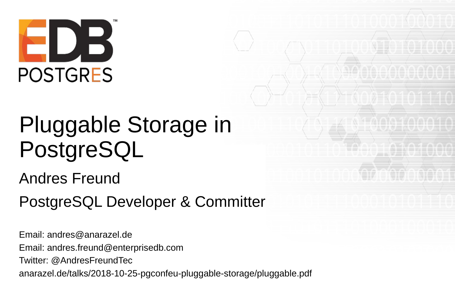

# Pluggable Storage in PostgreSQL

Andres Freund

PostgreSQL Developer & Committer

Email: [andres@anarazel.de](mailto:andres@anarazel.de) Email: [andres.freund@enterprisedb.com](mailto:andres.freund@enterprisedb.com) Twitter: @AndresFreundTec anarazel.de/talks/2018-10-25-pgconfeu-pluggable-storage/pluggable.pdf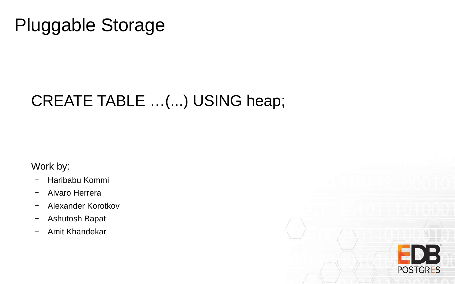### Pluggable Storage

#### CREATE TABLE …(...) USING heap;

Work by:

- Haribabu Kommi
- Alvaro Herrera
- Alexander Korotkov
- Ashutosh Bapat
- Amit Khandekar

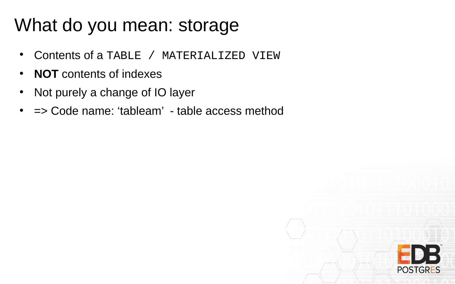### What do you mean: storage

- Contents of a TABLE / MATERIALIZED VIEW
- **NOT** contents of indexes
- Not purely a change of IO layer
- $\bullet$  => Code name: 'tableam' table access method

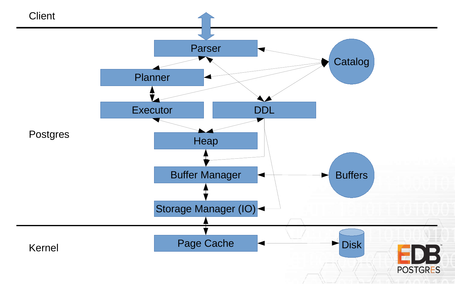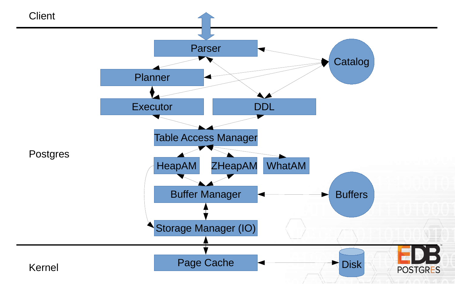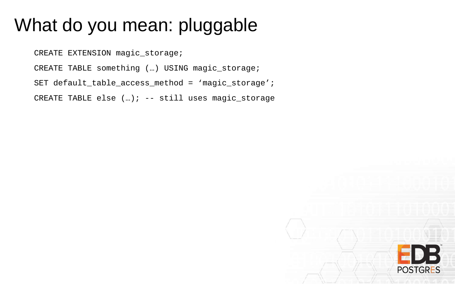### What do you mean: pluggable

CREATE EXTENSION magic\_storage;

CREATE TABLE something (…) USING magic\_storage;

```
SET default_table_access_method = 'magic_storage';
```
CREATE TABLE else (…); -- still uses magic\_storage

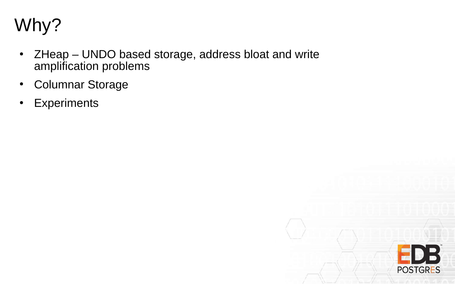

- ZHeap UNDO based storage, address bloat and write amplification problems
- Columnar Storage
- Experiments

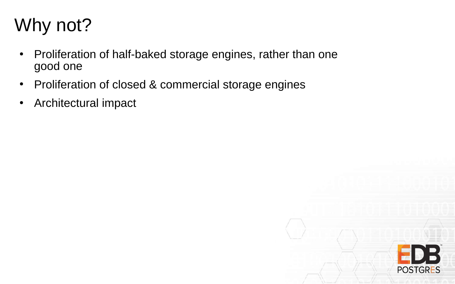### Why not?

- Proliferation of half-baked storage engines, rather than one good one
- Proliferation of closed & commercial storage engines
- Architectural impact

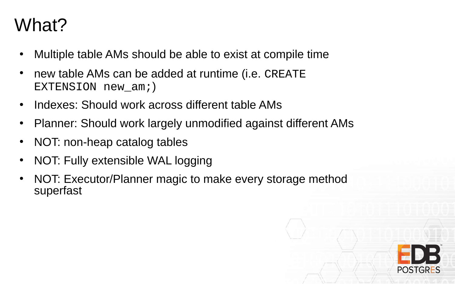### What?

- Multiple table AMs should be able to exist at compile time
- new table AMs can be added at runtime (i.e. CREATE EXTENSION new\_am;)
- Indexes: Should work across different table AMs
- Planner: Should work largely unmodified against different AMs
- NOT: non-heap catalog tables
- NOT: Fully extensible WAL logging
- NOT: Executor/Planner magic to make every storage method superfast

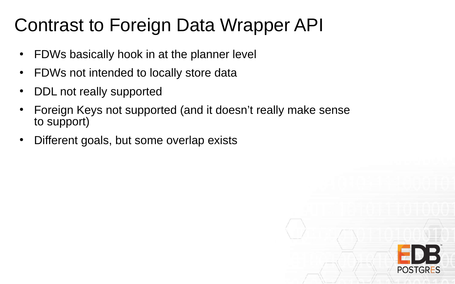### Contrast to Foreign Data Wrapper API

- FDWs basically hook in at the planner level
- FDWs not intended to locally store data
- DDL not really supported
- Foreign Keys not supported (and it doesn't really make sense to support)
- Different goals, but some overlap exists

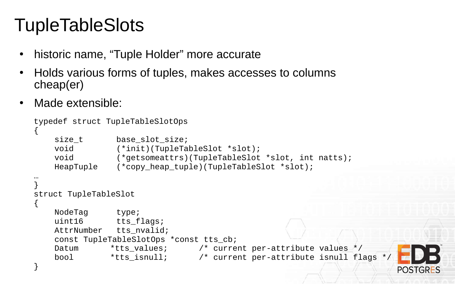## **TupleTableSlots**

- historic name, "Tuple Holder" more accurate
- Holds various forms of tuples, makes accesses to columns cheap(er)
- Made extensible:

```
typedef struct TupleTableSlotOps
{
   size t base slot size;
   void (*init)(TupleTableSlot *slot);
   void (*getsomeattrs)(TupleTableSlot *slot, int natts);
   HeapTuple (*copy_heap_tuple)(TupleTableSlot *slot);
…
}
struct TupleTableSlot
{
   NodeTag type;
   uint16 tts_flags;
   AttrNumber tts nvalid;
   const TupleTableSlotOps *const tts_cb;
   Datum *tts values; /* current per-attribute values */
    bool *tts_isnull; /* current per-attribute isnull flags */
}POSTGRES
```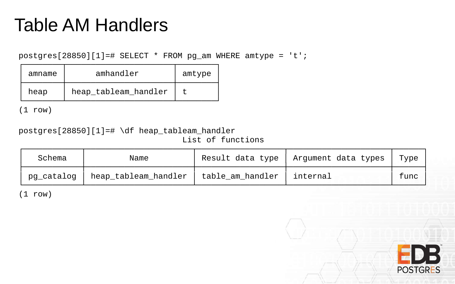### Table AM Handlers

 $postgres[28850][1]=\# SELECT * FROM pg_am WHERE antype = 't';$ 

| amname | amhandler            | amtype |
|--------|----------------------|--------|
| heap   | heap_tableam_handler |        |

(1 row)

postgres[28850][1]=# \df heap\_tableam\_handler List of functions

| Schema     | Name                 |                    | Result data type   Argument data types | Type |
|------------|----------------------|--------------------|----------------------------------------|------|
| pg_catalog | heap_tableam_handler | ' table_am_handler | internal                               | func |

(1 row)

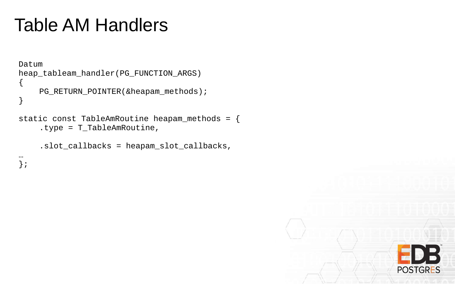### Table AM Handlers

```
Datum
heap_tableam_handler(PG_FUNCTION_ARGS)
{
    PG_RETURN_POINTER(&heapam_methods);
}
static const TableAmRoutine heapam_methods = {
    .type = T_TableAmRoutine,
    .slot_callbacks = heapam_slot_callbacks,
```
… };

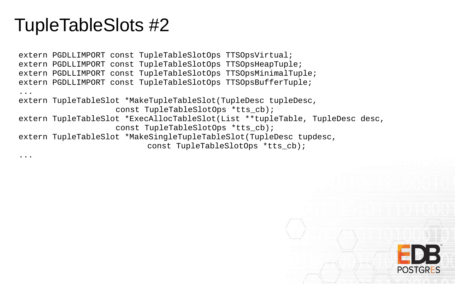#### TupleTableSlots #2

...

extern PGDLLIMPORT const TupleTableSlotOps TTSOpsVirtual; extern PGDLLIMPORT const TupleTableSlotOps TTSOpsHeapTuple; extern PGDLLIMPORT const TupleTableSlotOps TTSOpsMinimalTuple; extern PGDLLIMPORT const TupleTableSlotOps TTSOpsBufferTuple; ... extern TupleTableSlot \*MakeTupleTableSlot(TupleDesc tupleDesc, const TupleTableSlotOps \*tts\_cb); extern TupleTableSlot \*ExecAllocTableSlot(List \*\*tupleTable, TupleDesc desc, const TupleTableSlotOps \*tts cb); extern TupleTableSlot \*MakeSingleTupleTableSlot(TupleDesc tupdesc, const TupleTableSlotOps \*tts\_cb);

**POSTGRES**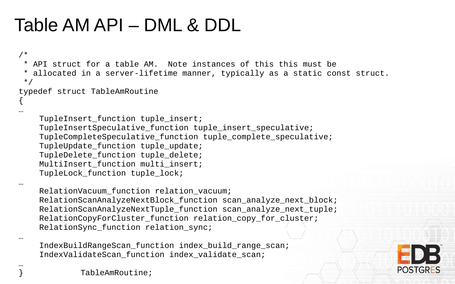### Table AM API – DML & DDL

```
/*
 * API struct for a table AM. Note instances of this this must be
 * allocated in a server-lifetime manner, typically as a static const struct.
 */
typedef struct TableAmRoutine
{
…
    TupleInsert_function tuple_insert;
    TupleInsertSpeculative_function tuple_insert_speculative;
    TupleCompleteSpeculative_function tuple_complete_speculative;
    TupleUpdate_function tuple_update;
    TupleDelete_function tuple_delete;
    MultiInsert_function multi_insert;
    TupleLock function tuple lock;
…
    RelationVacuum_function relation_vacuum;
    RelationScanAnalyzeNextBlock function scan analyze next block;
    RelationScanAnalyzeNextTuple function scan analyze next tuple;
    RelationCopyForCluster_function relation_copy_for_cluster;
    RelationSync_function relation_sync;
…
    IndexBuildRangeScan_function index_build_range_scan;
```


} TableAmRoutine;

…

IndexValidateScan function index validate scan;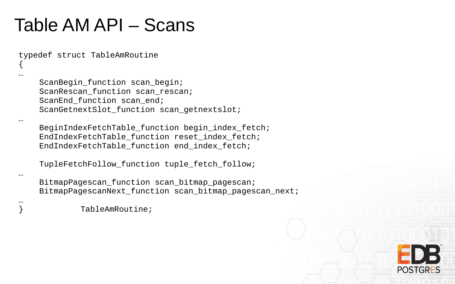#### Table AM API – Scans

typedef struct TableAmRoutine

{ …

…

…

…

ScanBegin\_function scan\_begin; ScanRescan\_function scan\_rescan; ScanEnd function scan end; ScanGetnextSlot\_function scan\_getnextslot;

BeginIndexFetchTable\_function begin\_index\_fetch; EndIndexFetchTable\_function reset\_index\_fetch; EndIndexFetchTable\_function end\_index\_fetch;

TupleFetchFollow\_function tuple\_fetch\_follow;

BitmapPagescan\_function scan\_bitmap\_pagescan; BitmapPagescanNext\_function scan\_bitmap\_pagescan\_next;

} TableAmRoutine;

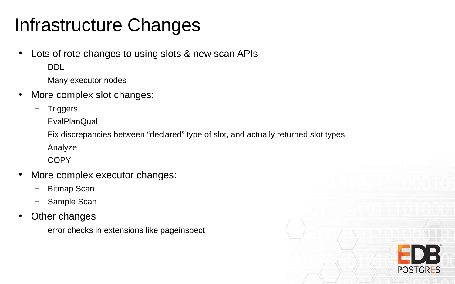### Infrastructure Changes

- Lots of rote changes to using slots & new scan APIs
	- DDL
	- Many executor nodes
- More complex slot changes:
	- **Triggers**
	- EvalPlanQual
	- Fix discrepancies between "declared" type of slot, and actually returned slot types
	- Analyze
	- COPY
- More complex executor changes:
	- Bitmap Scan
	- Sample Scan
- Other changes
	- error checks in extensions like pageinspect